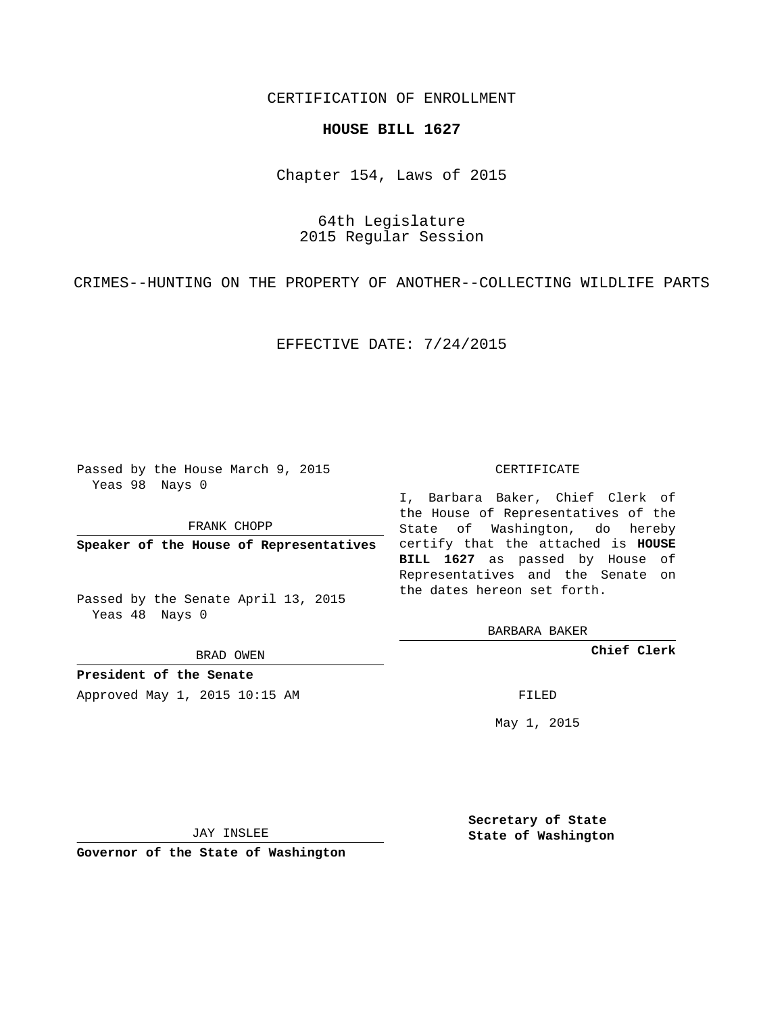## CERTIFICATION OF ENROLLMENT

## **HOUSE BILL 1627**

Chapter 154, Laws of 2015

64th Legislature 2015 Regular Session

CRIMES--HUNTING ON THE PROPERTY OF ANOTHER--COLLECTING WILDLIFE PARTS

EFFECTIVE DATE: 7/24/2015

Passed by the House March 9, 2015 Yeas 98 Nays 0

FRANK CHOPP

**Speaker of the House of Representatives**

Passed by the Senate April 13, 2015 Yeas 48 Nays 0

BRAD OWEN

**President of the Senate**

Approved May 1, 2015 10:15 AM FILED

## CERTIFICATE

I, Barbara Baker, Chief Clerk of the House of Representatives of the State of Washington, do hereby certify that the attached is **HOUSE BILL 1627** as passed by House of Representatives and the Senate on the dates hereon set forth.

BARBARA BAKER

**Chief Clerk**

May 1, 2015

JAY INSLEE

**Governor of the State of Washington**

**Secretary of State State of Washington**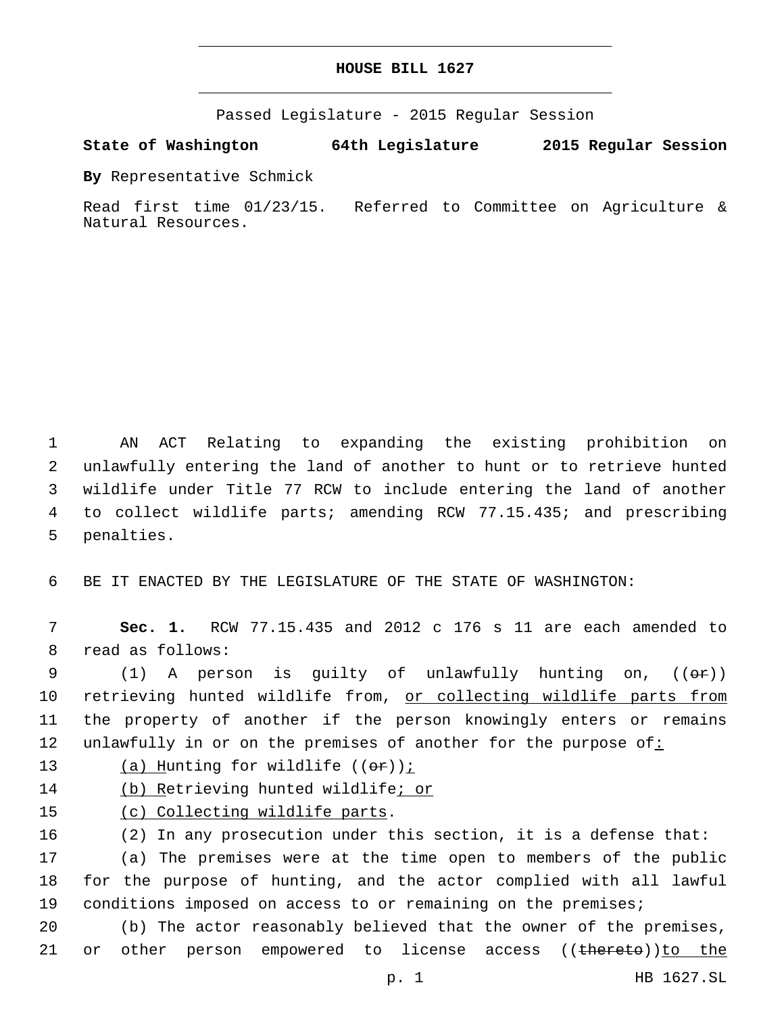Passed Legislature - 2015 Regular Session

**State of Washington 64th Legislature 2015 Regular Session**

**By** Representative Schmick

Read first time 01/23/15. Referred to Committee on Agriculture & Natural Resources.

 AN ACT Relating to expanding the existing prohibition on unlawfully entering the land of another to hunt or to retrieve hunted wildlife under Title 77 RCW to include entering the land of another to collect wildlife parts; amending RCW 77.15.435; and prescribing 5 penalties.

6 BE IT ENACTED BY THE LEGISLATURE OF THE STATE OF WASHINGTON:

7 **Sec. 1.** RCW 77.15.435 and 2012 c 176 s 11 are each amended to 8 read as follows:

9 (1) A person is guilty of unlawfully hunting on,  $((\theta \cdot \mathbf{r}))$ 10 retrieving hunted wildlife from, or collecting wildlife parts from 11 the property of another if the person knowingly enters or remains 12 unlawfully in or on the premises of another for the purpose of:

13  $(a)$  Hunting for wildlife  $((\theta \cdot \hat{r}))$  *i* 

14 (b) Retrieving hunted wildlife; or

15 (c) Collecting wildlife parts.

 (2) In any prosecution under this section, it is a defense that: (a) The premises were at the time open to members of the public for the purpose of hunting, and the actor complied with all lawful conditions imposed on access to or remaining on the premises;

20 (b) The actor reasonably believed that the owner of the premises, 21 or other person empowered to license access ((thereto))to the